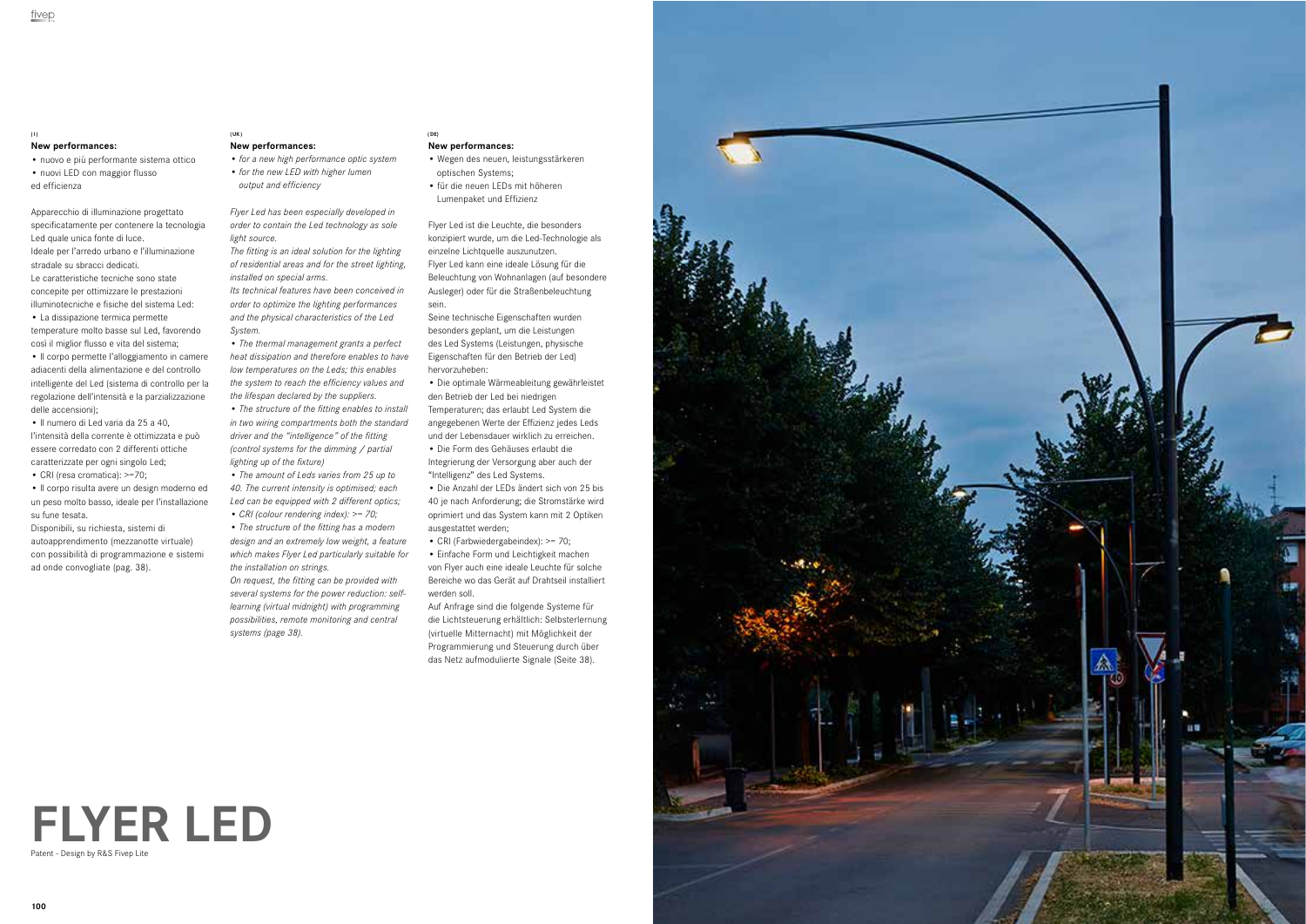

# **FLYER LED** Patent - Design by R&S Fivep Lite

# **New performances:**

- nuovo e più performante sistema ottico
- nuovi LED con maggior flusso ed efficienza

Apparecchio di illuminazione progettato specificatamente per contenere la tecnologia Led quale unica fonte di luce. Ideale per l'arredo urbano e l'illuminazione stradale su sbracci dedicati. Le caratteristiche tecniche sono state concepite per ottimizzare le prestazioni illuminotecniche e fisiche del sistema Led: • La dissipazione termica permette

temperature molto basse sul Led, favorendo così il miglior flusso e vita del sistema; • Il corpo permette l'alloggiamento in camere

adiacenti della alimentazione e del controllo intelligente del Led (sistema di controllo per la regolazione dell'intensità e la parzializzazione delle accensioni);

• Il numero di Led varia da 25 a 40, l'intensità della corrente è ottimizzata e può essere corredato con 2 differenti ottiche caratterizzate per ogni singolo Led;

• CRI (resa cromatica): >=70;

• Il corpo risulta avere un design moderno ed un peso molto basso, ideale per l'installazione su fune tesata.

Disponibili, su richiesta, sistemi di autoapprendimento (mezzanotte virtuale) con possibilità di programmazione e sistemi ad onde convogliate (pag. 38).

### **New performances:**

- *for a new high performance optic system*
- *for the new LED with higher lumen output and efficiency*

*Flyer Led has been especially developed in order to contain the Led technology as sole* 

*light source. The fitting is an ideal solution for the lighting of residential areas and for the street lighting, installed on special arms.*

*Its technical features have been conceived in order to optimize the lighting performances and the physical characteristics of the Led System.* 

• *The thermal management grants a perfect heat dissipation and therefore enables to have low temperatures on the Leds; this enables the system to reach the efficiency values and the lifespan declared by the suppliers.* 

• *The structure of the fitting enables to install in two wiring compartments both the standard driver and the "intelligence" of the fitting (control systems for the dimming / partial lighting up of the fixture)*

• *The amount of Leds varies from 25 up to 40. The current intensity is optimised; each Led can be equipped with 2 different optics; • CRI (colour rendering index): >= 70;*

• *The structure of the fitting has a modern design and an extremely low weight, a feature which makes Flyer Led particularly suitable for the installation on strings.*

*On request, the fitting can be provided with several systems for the power reduction: selflearning (virtual midnight) with programming possibilities, remote monitoring and central systems (page 38).*

- **New performances:**
- Wegen des neuen, leistungsstärkeren optischen Systems;
- für die neuen LEDs mit höheren Lumenpaket und Effizienz

Flyer Led ist die Leuchte, die besonders konzipiert wurde, um die Led-Technologie als einzelne Lichtquelle auszunutzen. Flyer Led kann eine ideale Lösung für die Beleuchtung von Wohnanlagen (auf besondere Ausleger) oder für die Straßenbeleuchtung sein.

Seine technische Eigenschaften wurden besonders geplant, um die Leistungen des Led Systems (Leistungen, physische Eigenschaften für den Betrieb der Led) hervorzuheben:

• Die optimale Wärmeableitung gewährleistet den Betrieb der Led bei niedrigen Temperaturen; das erlaubt Led System die angegebenen Werte der Effizienz jedes Leds und der Lebensdauer wirklich zu erreichen. • Die Form des Gehäuses erlaubt die Integrierung der Versorgung aber auch der "Intelligenz" des Led Systems.

• Die Anzahl der LEDs ändert sich von 25 bis 40 je nach Anforderung; die Stromstärke wird oprimiert und das System kann mit 2 Optiken ausgestattet werden;

• CRI (Farbwiedergabeindex): >= 70;

• Einfache Form und Leichtigkeit machen von Flyer auch eine ideale Leuchte für solche Bereiche wo das Gerät auf Drahtseil installiert werden soll.

Auf Anfrage sind die folgende Systeme für die Lichtsteuerung erhältlich: Selbsterlernung (virtuelle Mitternacht) mit Möglichkeit der Programmierung und Steuerung durch über das Netz aufmodulierte Signale (Seite 38).



#### **(I) ( UK ) ( DE)**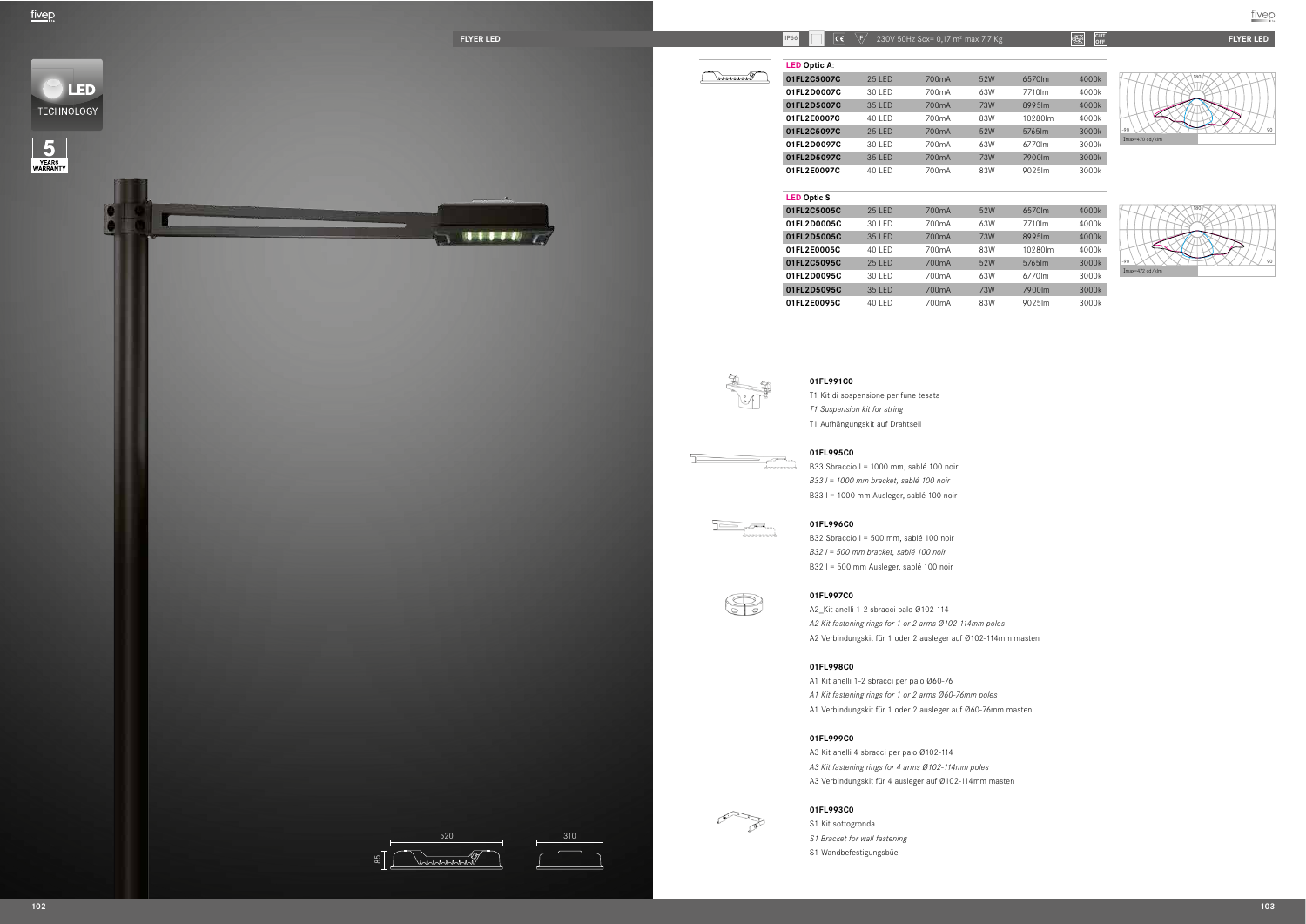



# **OFF**





*A2 Kit fastening rings for 1 or 2 arms Ø102-114mm poles* A2 Verbindungskit für 1 oder 2 ausleger auf Ø102-114mm masten

A1 Verbindungskit für 1 oder 2 ausleger auf Ø60-76mm masten

A3 Verbindungskit für 4 ausleger auf Ø102-114mm masten

| <b>25 LED</b> | 700 <sub>m</sub> A | 52W        | 6570lm  | 4000k |
|---------------|--------------------|------------|---------|-------|
| 30 LED        | 700 <sub>m</sub> A | 63W        | 7710lm  | 4000k |
| 35 LED        | 700 <sub>m</sub> A | <b>73W</b> | 8995lm  | 4000k |
| 40 LED        | 700mA              | 83W        | 10280lm | 4000k |
| <b>25 LED</b> | 700 <sub>m</sub> A | 52W        | 5765lm  | 3000k |
| 30 LED        | 700mA              | 63W        | 6770lm  | 3000k |
| 35 LED        | 700mA              | <b>73W</b> | 7900lm  | 3000k |
| 40 LED        | 700mA              | 83W        | 9025lm  | 3000k |

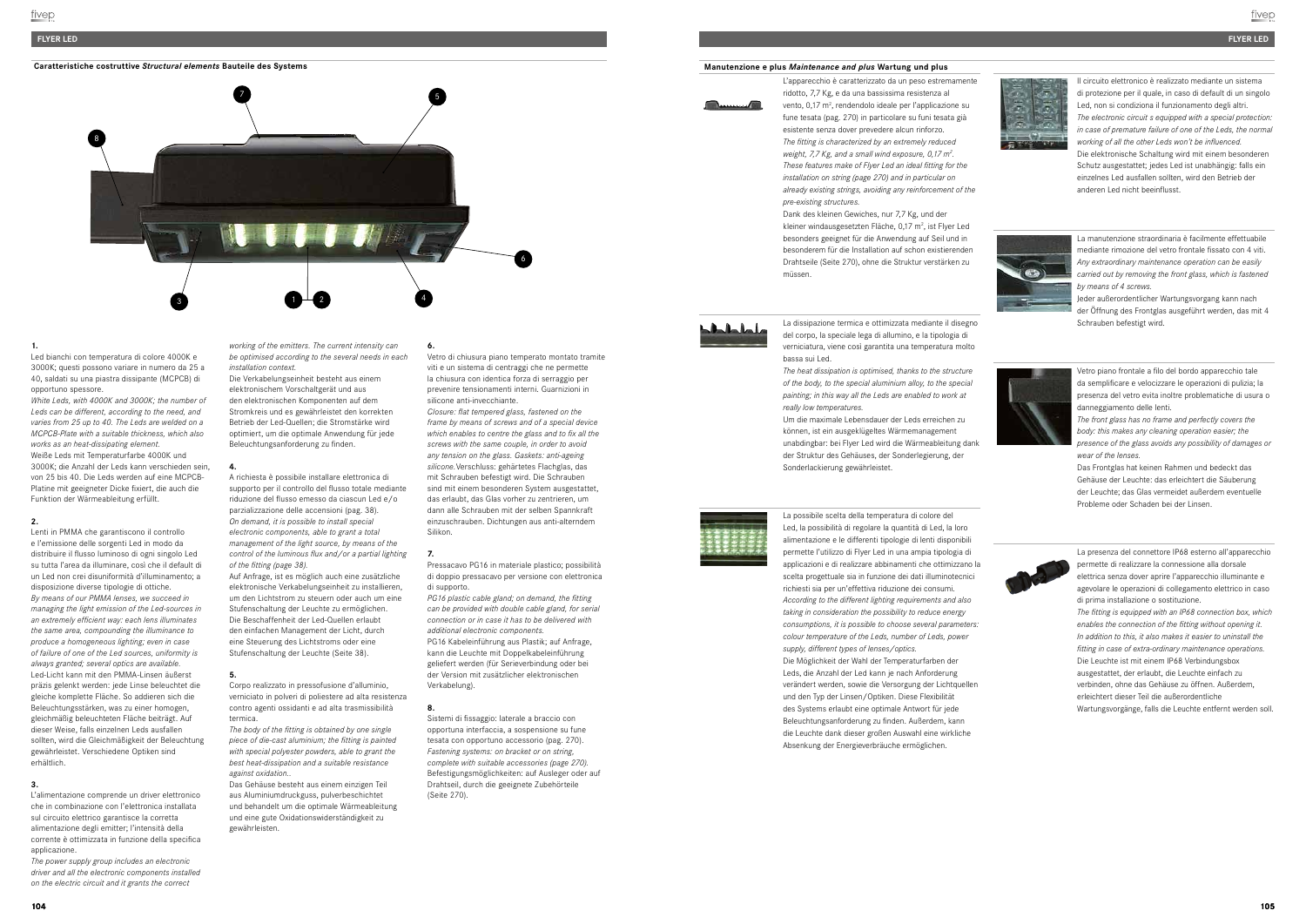#### **FLYER LED**

**Caratteristiche costruttive** *Structural elements* **Bauteile des Systems <b>Manutenzione executive** *Manutenzione e plus Maintenance and plus* Wartung und plus





## **1.**

Led bianchi con temperatura di colore 4000K e 3000K; questi possono variare in numero da 25 a 40, saldati su una piastra dissipante (MCPCB) di opportuno spessore.

*White Leds, with 4000K and 3000K; the number of Leds can be different, according to the need, and varies from 25 up to 40. The Leds are welded on a MCPCB-Plate with a suitable thickness, which also works as an heat-dissipating element.* Weiße Leds mit Temperaturfarbe 4000K und 3000K; die Anzahl der Leds kann verschieden sein, von 25 bis 40. Die Leds werden auf eine MCPCB-Platine mit geeigneter Dicke fixiert, die auch die Funktion der Wärmeableitung erfüllt.

#### **2.**

L'alimentazione comprende un driver elettronico che in combinazione con l'elettronica installata sul circuito elettrico garantisce la corretta alimentazione degli emitter; l'intensità della corrente è ottimizzata in funzione della specifica applicazione

Lenti in PMMA che garantiscono il controllo e l'emissione delle sorgenti Led in modo da distribuire il flusso luminoso di ogni singolo Led su tutta l'area da illuminare, così che il default di un Led non crei disuniformità d'illuminamento; a disposizione diverse tipologie di ottiche. *By means of our PMMA lenses, we succeed in managing the light emission of the Led-sources in an extremely efficient way: each lens illuminates the same area, compounding the illuminance to produce a homogeneous lighting; even in case of failure of one of the Led sources, uniformity is always granted; several optics are available.* Led-Licht kann mit den PMMA-Linsen äußerst präzis gelenkt werden: jede Linse beleuchtet die gleiche komplette Fläche. So addieren sich die Beleuchtungsstärken, was zu einer homogen, gleichmäßig beleuchteten Fläche beiträgt. Auf dieser Weise, falls einzelnen Leds ausfallen sollten, wird die Gleichmäßigkeit der Beleuchtung gewährleistet. Verschiedene Optiken sind erhältlich.

Corpo realizzato in pressofusione d'alluminio, verniciato in polveri di poliestere ad alta resistenza contro agenti ossidanti e ad alta trasmissibilità termica

#### **3.**

*The power supply group includes an electronic driver and all the electronic components installed on the electric circuit and it grants the correct* 

*working of the emitters. The current intensity can be optimised according to the several needs in each installation context.*

Die Verkabelungseinheit besteht aus einem elektronischem Vorschaltgerät und aus den elektronischen Komponenten auf dem Stromkreis und es gewährleistet den korrekten Betrieb der Led-Quellen; die Stromstärke wird optimiert, um die optimale Anwendung für jede Beleuchtungsanforderung zu finden.

#### **4.**

A richiesta è possibile installare elettronica di supporto per il controllo del flusso totale mediante riduzione del flusso emesso da ciascun Led e/o parzializzazione delle accensioni (pag. 38). *On demand, it is possible to install special electronic components, able to grant a total management of the light source, by means of the control of the luminous flux and/or a partial lighting of the fitting (page 38).*

Auf Anfrage, ist es möglich auch eine zusätzliche elektronische Verkabelungseinheit zu installieren, um den Lichtstrom zu steuern oder auch um eine Stufenschaltung der Leuchte zu ermöglichen. Die Beschaffenheit der Led-Quellen erlaubt den einfachen Management der Licht, durch eine Steuerung des Lichtstroms oder eine Stufenschaltung der Leuchte (Seite 38).

#### **5.**

*The body of the fitting is obtained by one single piece of die-cast aluminium; the fitting is painted with special polyester powders, able to grant the best heat-dissipation and a suitable resistance against oxidation..*

Das Gehäuse besteht aus einem einzigen Teil aus Aluminiumdruckguss, pulverbeschichtet und behandelt um die optimale Wärmeableitung und eine gute Oxidationswiderständigkeit zu gewährleisten.

**6.**

Vetro di chiusura piano temperato montato tramite viti e un sistema di centraggi che ne permette la chiusura con identica forza di serraggio per prevenire tensionamenti interni. Guarnizioni in silicone anti-invecchiante.

*Closure: flat tempered glass, fastened on the frame by means of screws and of a special device which enables to centre the glass and to fix all the screws with the same couple, in order to avoid any tension on the glass. Gaskets: anti-ageing silicone.*Verschluss: gehärtetes Flachglas, das mit Schrauben befestigt wird. Die Schrauben sind mit einem besonderen System ausgestattet, das erlaubt, das Glas vorher zu zentrieren, um dann alle Schrauben mit der selben Spannkraft einzuschrauben. Dichtungen aus anti-alterndem Silikon.

#### **7.**

Pressacavo PG16 in materiale plastico; possibilità di doppio pressacavo per versione con elettronica di supporto.

*PG16 plastic cable gland; on demand, the fitting can be provided with double cable gland, for serial connection or in case it has to be delivered with additional electronic components.*  PG16 Kabeleinführung aus Plastik; auf Anfrage, kann die Leuchte mit Doppelkabeleinführung geliefert werden (für Serieverbindung oder bei der Version mit zusätzlicher elektronischen Verkabelung).

#### **8.**

Sistemi di fissaggio: laterale a braccio con opportuna interfaccia, a sospensione su fune tesata con opportuno accessorio (pag. 270). *Fastening systems: on bracket or on string, complete with suitable accessories (page 270).* Befestigungsmöglichkeiten: auf Ausleger oder auf Drahtseil, durch die geeignete Zubehörteile (Seite 270).

L'apparecchio è caratterizzato da un peso estremamente ridotto, 7,7 Kg, e da una bassissima resistenza al vento, 0,17 m<sup>2</sup>, rendendolo ideale per l'applicazione su fune tesata (pag. 270) in particolare su funi tesata già esistente senza dover prevedere alcun rinforzo. *The fitting is characterized by an extremely reduced weight, 7,7 Kg, and a small wind exposure, 0,17 m2 . These features make of Flyer Led an ideal fitting for the installation on string (page 270) and in particular on already existing strings, avoiding any reinforcement of the pre-existing structures.*

Dank des kleinen Gewiches, nur 7,7 Kg, und der kleiner windausgesetzten Fläche, 0,17 m<sup>2</sup>, ist Flyer Led besonders geeignet für die Anwendung auf Seil und in besonderem für die Installation auf schon existierenden Drahtseile (Seite 270), ohne die Struktur verstärken zu müssen.



La dissipazione termica e ottimizzata mediante il disegno del corpo, la speciale lega di allumino, e la tipologia di verniciatura, viene così garantita una temperatura molto bassa sui Led.

*The heat dissipation is optimised, thanks to the structure of the body, to the special aluminium alloy, to the special painting; in this way all the Leds are enabled to work at really low temperatures.* 

Um die maximale Lebensdauer der Leds erreichen zu können, ist ein ausgeklügeltes Wärmemanagement unabdingbar: bei Flyer Led wird die Wärmeableitung dank der Struktur des Gehäuses, der Sonderlegierung, der Sonderlackierung gewährleistet.

La possibile scelta della temperatura di colore del



Led, la possibilità di regolare la quantità di Led, la loro alimentazione e le differenti tipologie di lenti disponibili permette l'utilizzo di Flyer Led in una ampia tipologia di applicazioni e di realizzare abbinamenti che ottimizzano la scelta progettuale sia in funzione dei dati illuminotecnici richiesti sia per un'effettiva riduzione dei consumi. *According to the different lighting requirements and also taking in consideration the possibility to reduce energy consumptions, it is possible to choose several parameters: colour temperature of the Leds, number of Leds, power supply, different types of lenses/optics.*  Die Möglichkeit der Wahl der Temperaturfarben der Leds, die Anzahl der Led kann je nach Anforderung verändert werden, sowie die Versorgung der Lichtquellen und den Typ der Linsen/Optiken. Diese Flexibilität des Systems erlaubt eine optimale Antwort für jede Beleuchtungsanforderung zu finden. Außerdem, kann die Leuchte dank dieser großen Auswahl eine wirkliche Absenkung der Energieverbräuche ermöglichen.

Il circuito elettronico è realizzato mediante un sistema di protezione per il quale, in caso di default di un singolo Led, non si condiziona il funzionamento degli altri. *The electronic circuit s equipped with a special protection: in case of premature failure of one of the Leds, the normal working of all the other Leds won't be influenced.*  Die elektronische Schaltung wird mit einem besonderen Schutz ausgestattet; jedes Led ist unabhängig: falls ein einzelnes Led ausfallen sollten, wird den Betrieb der anderen Led nicht beeinflusst.



La manutenzione straordinaria è facilmente effettuabile mediante rimozione del vetro frontale fissato con 4 viti. *Any extraordinary maintenance operation can be easily carried out by removing the front glass, which is fastened by means of 4 screws.* 

Jeder außerordentlicher Wartungsvorgang kann nach der Öffnung des Frontglas ausgeführt werden, das mit 4 Schrauben befestigt wird.



Vetro piano frontale a filo del bordo apparecchio tale da semplificare e velocizzare le operazioni di pulizia; la presenza del vetro evita inoltre problematiche di usura o danneggiamento delle lenti.

*The front glass has no frame and perfectly covers the body: this makes any cleaning operation easier; the presence of the glass avoids any possibility of damages or wear of the lenses.* 

Das Frontglas hat keinen Rahmen und bedeckt das Gehäuse der Leuchte: das erleichtert die Säuberung der Leuchte; das Glas vermeidet außerdem eventuelle Probleme oder Schaden bei der Linsen.



La presenza del connettore IP68 esterno all'apparecchio permette di realizzare la connessione alla dorsale elettrica senza dover aprire l'apparecchio illuminante e agevolare le operazioni di collegamento elettrico in caso di prima installazione o sostituzione. *The fitting is equipped with an IP68 connection box, which enables the connection of the fitting without opening it. In addition to this, it also makes it easier to uninstall the fitting in case of extra-ordinary maintenance operations.* Die Leuchte ist mit einem IP68 Verbindungsbox ausgestattet, der erlaubt, die Leuchte einfach zu verbinden, ohne das Gehäuse zu öffnen. Außerdem, erleichtert dieser Teil die außerordentliche Wartungsvorgänge, falls die Leuchte entfernt werden soll.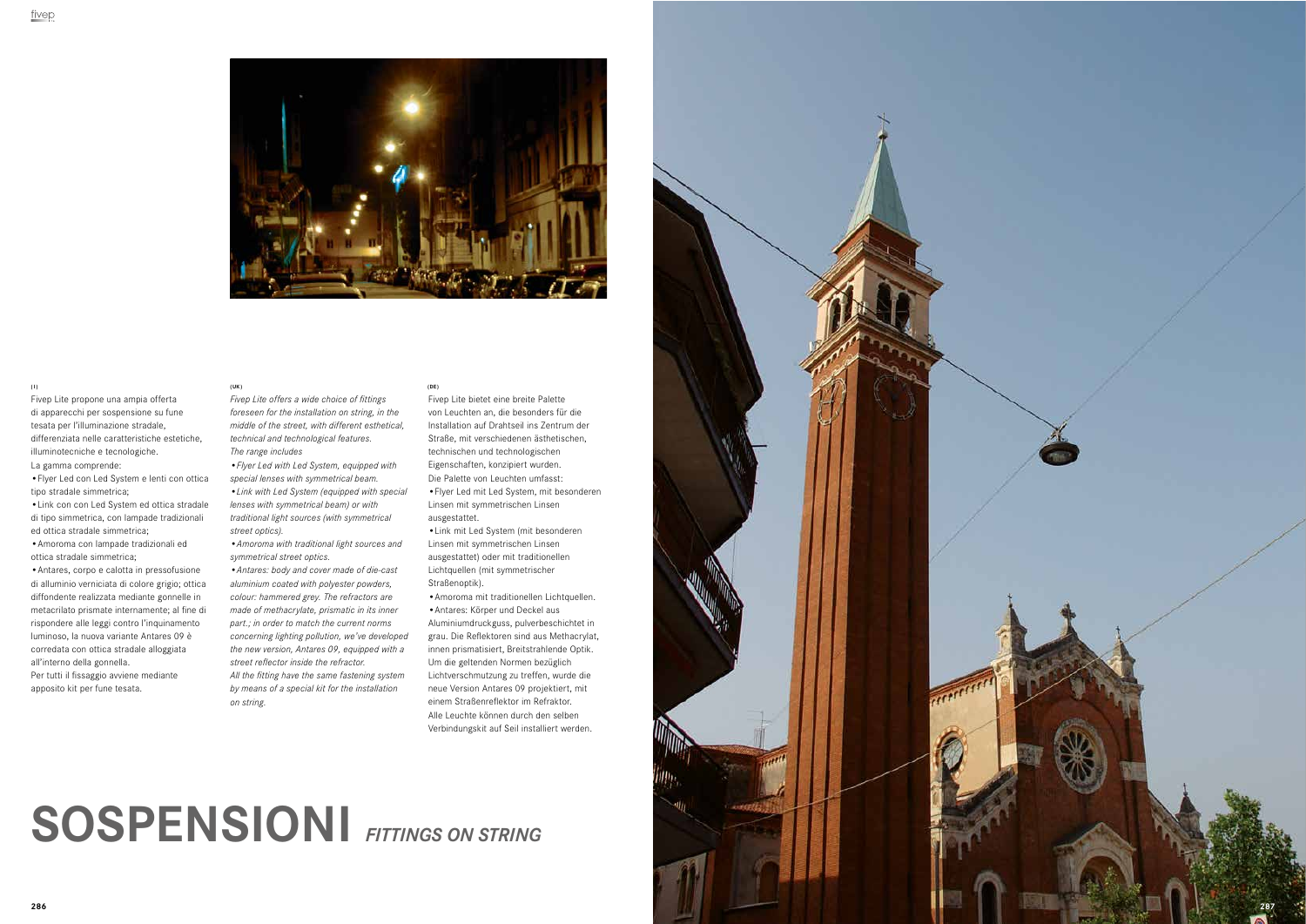

# **SOSPENSIONI** *FITTINGS ON STRING*





Fivep Lite propone una ampia offerta di apparecchi per sospensione su fune tesata per l'illuminazione stradale, differenziata nelle caratteristiche estetiche, illuminotecniche e tecnologiche. La gamma comprende:

**•**Flyer Led con Led System e lenti con ottica tipo stradale simmetrica;

**•**Link con con Led System ed ottica stradale di tipo simmetrica, con lampade tradizionali ed ottica stradale simmetrica;

**•**Amoroma con lampade tradizionali ed ottica stradale simmetrica;

**•**Antares, corpo e calotta in pressofusione di alluminio verniciata di colore grigio; ottica diffondente realizzata mediante gonnelle in metacrilato prismate internamente; al fine di rispondere alle leggi contro l'inquinamento luminoso, la nuova variante Antares 09 è corredata con ottica stradale alloggiata all'interno della gonnella.

Per tutti il fissaggio avviene mediante apposito kit per fune tesata.

*Fivep Lite offers a wide choice of fittings foreseen for the installation on string, in the middle of the street, with different esthetical, technical and technological features. The range includes*

*•Flyer Led with Led System, equipped with special lenses with symmetrical beam. •Link with Led System (equipped with special lenses with symmetrical beam) or with traditional light sources (with symmetrical street optics).*

*•Amoroma with traditional light sources and symmetrical street optics.*

*•Antares: body and cover made of die-cast aluminium coated with polyester powders, colour: hammered grey. The refractors are made of methacrylate, prismatic in its inner part.; in order to match the current norms concerning lighting pollution, we've developed the new version, Antares 09, equipped with a street reflector inside the refractor. All the fitting have the same fastening system by means of a special kit for the installation on string.*

Fivep Lite bietet eine breite Palette von Leuchten an, die besonders für die Installation auf Drahtseil ins Zentrum der Straße, mit verschiedenen ästhetischen, technischen und technologischen Eigenschaften, konzipiert wurden. Die Palette von Leuchten umfasst: **•**Flyer Led mit Led System, mit besonderen Linsen mit symmetrischen Linsen ausgestattet.

**•**Link mit Led System (mit besonderen Linsen mit symmetrischen Linsen ausgestattet) oder mit traditionellen Lichtquellen (mit symmetrischer Straßenoptik).

**•**Amoroma mit traditionellen Lichtquellen. **•**Antares: Körper und Deckel aus Aluminiumdruckguss, pulverbeschichtet in grau. Die Reflektoren sind aus Methacrylat, innen prismatisiert, Breitstrahlende Optik. Um die geltenden Normen bezüglich Lichtverschmutzung zu treffen, wurde die neue Version Antares 09 projektiert, mit einem Straßenreflektor im Refraktor. Alle Leuchte können durch den selben Verbindungskit auf Seil installiert werden.

#### **(I) ( UK ) (DE )**